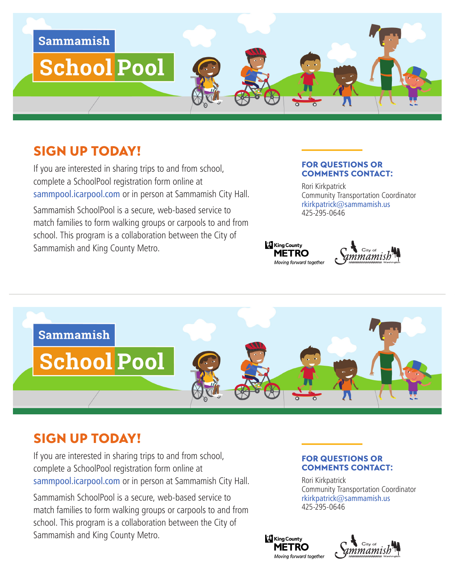

# SIGN UP TODAY!

If you are interested in sharing trips to and from school, complete a SchoolPool registration form online at [sammpool.icarpool.com](http://sammpool.icarpool.com) or in person at Sammamish City Hall.

Sammamish SchoolPool is a secure, web-based service to match families to form walking groups or carpools to and from school. This program is a collaboration between the City of Sammamish and King County Metro.

#### FOR QUESTIONS OR COMMENTS CONTACT:

Rori Kirkpatrick Community Transportation Coordinator rkirkpatrick@sammamish.us 425-295-0646





# SIGN UP TODAY!

If you are interested in sharing trips to and from school, complete a SchoolPool registration form online at sammpool.icarpool.com or in person at Sammamish City Hall.

Sammamish SchoolPool is a secure, web-based service to match families to form walking groups or carpools to and from school. This program is a collaboration between the City of Sammamish and King County Metro.

#### FOR QUESTIONS OR COMMENTS CONTACT:

Rori Kirkpatrick Community Transportation Coordinator rkirkpatrick@sammamish.us 425-295-0646